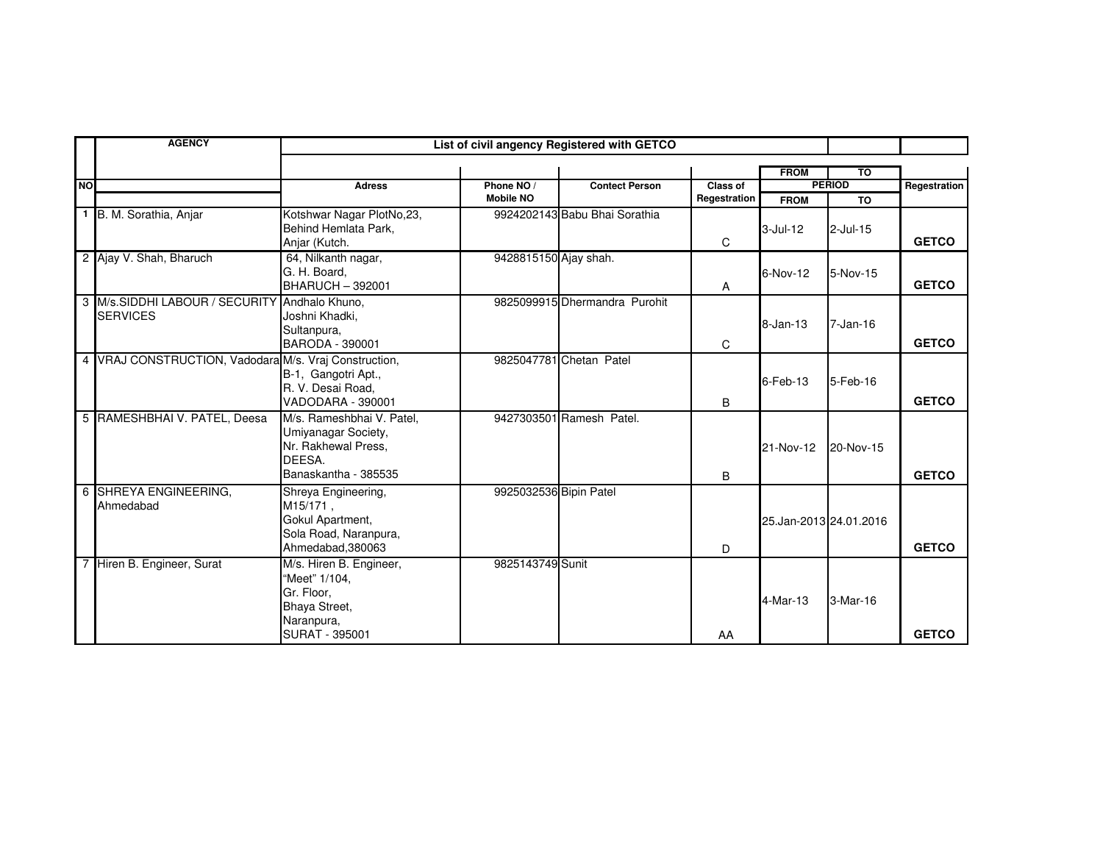|           | <b>AGENCY</b>                                                    | List of civil angency Registered with GETCO                                                                    |                                |                               |                          |                            |                                  |              |
|-----------|------------------------------------------------------------------|----------------------------------------------------------------------------------------------------------------|--------------------------------|-------------------------------|--------------------------|----------------------------|----------------------------------|--------------|
| <b>NO</b> |                                                                  | <b>Adress</b>                                                                                                  | Phone NO /<br><b>Mobile NO</b> | <b>Contect Person</b>         | Class of<br>Regestration | <b>FROM</b><br><b>FROM</b> | то<br><b>PERIOD</b><br><b>TO</b> | Regestration |
|           | 1 B. M. Sorathia, Anjar                                          | Kotshwar Nagar PlotNo,23,<br>Behind Hemlata Park,<br>Anjar (Kutch.                                             |                                | 9924202143 Babu Bhai Sorathia | C                        | 3-Jul-12                   | $2$ -Jul-15                      | <b>GETCO</b> |
|           | 2 Ajay V. Shah, Bharuch                                          | 64, Nilkanth nagar,<br>G. H. Board.<br><b>BHARUCH - 392001</b>                                                 | 9428815150 Ajay shah.          |                               | A                        | 6-Nov-12                   | 5-Nov-15                         | <b>GETCO</b> |
|           | 3 M/s.SIDDHI LABOUR / SECURITY Andhalo Khuno.<br><b>SERVICES</b> | Joshni Khadki.<br>Sultanpura,<br>BARODA - 390001                                                               |                                | 9825099915 Dhermandra Purohit | C                        | $8 - Jan - 13$             | $7 - Jan-16$                     | <b>GETCO</b> |
|           | 4 VRAJ CONSTRUCTION, Vadodara M/s. Vraj Construction,            | B-1, Gangotri Apt.,<br>R. V. Desai Road,<br>VADODARA - 390001                                                  |                                | 9825047781 Chetan Patel       | B                        | $6$ -Feb-13                | 5-Feb-16                         | <b>GETCO</b> |
|           | 5 RAMESHBHAI V. PATEL, Deesa                                     | M/s. Rameshbhai V. Patel.<br>Umiyanagar Society,<br>Nr. Rakhewal Press,<br>DEESA.<br>Banaskantha - 385535      |                                | 9427303501 Ramesh Patel.      | B                        | 21-Nov-12                  | 20-Nov-15                        | <b>GETCO</b> |
|           | 6 SHREYA ENGINEERING,<br>Ahmedabad                               | Shreya Engineering,<br>M15/171.<br>Gokul Apartment,<br>Sola Road, Naranpura,<br>Ahmedabad, 380063              | 9925032536 Bipin Patel         |                               | D                        | 25.Jan-2013 24.01.2016     |                                  | <b>GETCO</b> |
|           | 7 Hiren B. Engineer, Surat                                       | M/s. Hiren B. Engineer,<br>"Meet" 1/104.<br>Gr. Floor,<br>Bhaya Street,<br>Naranpura,<br><b>SURAT - 395001</b> | 9825143749 Sunit               |                               | AA                       | 4-Mar-13                   | 3-Mar-16                         | <b>GETCO</b> |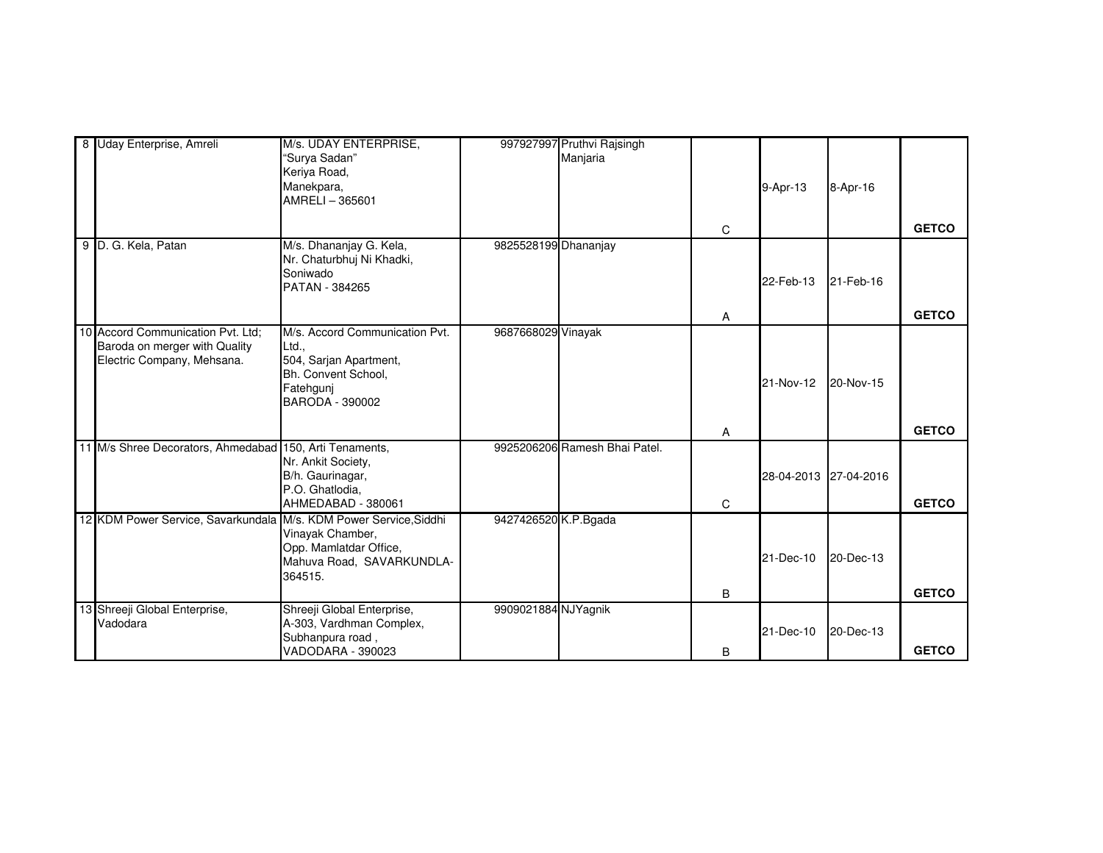| 8 Uday Enterprise, Amreli                                         | M/s. UDAY ENTERPRISE,                 |                      | 997927997 Pruthvi Rajsingh    |   |                       |           |              |
|-------------------------------------------------------------------|---------------------------------------|----------------------|-------------------------------|---|-----------------------|-----------|--------------|
|                                                                   | 'Surva Sadan"                         |                      | Manjaria                      |   |                       |           |              |
|                                                                   | Keriya Road,                          |                      |                               |   |                       |           |              |
|                                                                   | Manekpara,                            |                      |                               |   | 9-Apr-13              | 8-Apr-16  |              |
|                                                                   | AMRELI-365601                         |                      |                               |   |                       |           |              |
|                                                                   |                                       |                      |                               |   |                       |           |              |
|                                                                   |                                       |                      |                               | C |                       |           | <b>GETCO</b> |
| 9 D. G. Kela, Patan                                               | M/s. Dhananjay G. Kela,               | 9825528199 Dhananjay |                               |   |                       |           |              |
|                                                                   | Nr. Chaturbhuj Ni Khadki,             |                      |                               |   |                       |           |              |
|                                                                   | Soniwado<br>PATAN - 384265            |                      |                               |   | 22-Feb-13             | 21-Feb-16 |              |
|                                                                   |                                       |                      |                               |   |                       |           |              |
|                                                                   |                                       |                      |                               | Α |                       |           | <b>GETCO</b> |
| 10 Accord Communication Pvt. Ltd;                                 | M/s. Accord Communication Pvt.        | 9687668029 Vinayak   |                               |   |                       |           |              |
| Baroda on merger with Quality                                     | Ltd.,                                 |                      |                               |   |                       |           |              |
| Electric Company, Mehsana.                                        | 504, Sarjan Apartment,                |                      |                               |   |                       |           |              |
|                                                                   | Bh. Convent School.                   |                      |                               |   | 21-Nov-12             | 20-Nov-15 |              |
|                                                                   | Fatehgunj                             |                      |                               |   |                       |           |              |
|                                                                   | BARODA - 390002                       |                      |                               |   |                       |           |              |
|                                                                   |                                       |                      |                               |   |                       |           | <b>GETCO</b> |
|                                                                   |                                       |                      |                               | Α |                       |           |              |
| 11 M/s Shree Decorators, Ahmedabad 150, Arti Tenaments,           | Nr. Ankit Society,                    |                      | 9925206206 Ramesh Bhai Patel. |   |                       |           |              |
|                                                                   | B/h. Gaurinagar,                      |                      |                               |   | 28-04-2013 27-04-2016 |           |              |
|                                                                   | P.O. Ghatlodia,                       |                      |                               |   |                       |           |              |
|                                                                   | AHMEDABAD - 380061                    |                      |                               | C |                       |           | <b>GETCO</b> |
| 12 KDM Power Service, Savarkundala M/s. KDM Power Service, Siddhi |                                       | 9427426520 K.P.Bgada |                               |   |                       |           |              |
|                                                                   | Vinayak Chamber,                      |                      |                               |   |                       |           |              |
|                                                                   | Opp. Mamlatdar Office,                |                      |                               |   |                       |           |              |
|                                                                   | Mahuva Road, SAVARKUNDLA-             |                      |                               |   | 21-Dec-10             | 20-Dec-13 |              |
|                                                                   | 364515.                               |                      |                               |   |                       |           |              |
|                                                                   |                                       |                      |                               | B |                       |           | <b>GETCO</b> |
| 13 Shreeji Global Enterprise,                                     | Shreeji Global Enterprise,            | 9909021884 NJYagnik  |                               |   |                       |           |              |
| Vadodara                                                          | A-303, Vardhman Complex,              |                      |                               |   | 21-Dec-10             | 20-Dec-13 |              |
|                                                                   | Subhanpura road,<br>VADODARA - 390023 |                      |                               |   |                       |           | <b>GETCO</b> |
|                                                                   |                                       |                      |                               | B |                       |           |              |